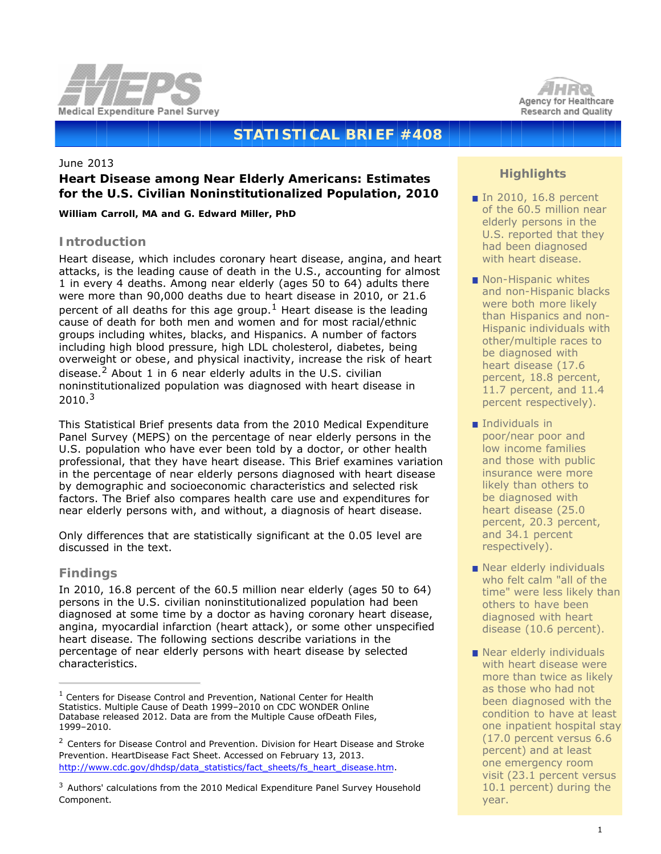



# **STATISTICAL BRIEF #408**

#### June 2013

# **Heart Disease among Near Elderly Americans: Estimates for the U.S. Civilian Noninstitutionalized Population, 2010**

*William Carroll, MA and G. Edward Miller, PhD*

# **Introduction**

Heart disease, which includes coronary heart disease, angina, and heart attacks, is the leading cause of death in the U.S., accounting for almost 1 in every 4 deaths. Among near elderly (ages 50 to 64) adults there were more than 90,000 deaths due to heart disease in 2010, or 21.6 percent of all deaths for this age group.<sup>1</sup> Heart disease is the leading cause of death for both men and women and for most racial/ethnic groups including whites, blacks, and Hispanics. A number of factors including high blood pressure, high LDL cholesterol, diabetes, being overweight or obese, and physical inactivity, increase the risk of heart disease.<sup>2</sup> About 1 in 6 near elderly adults in the U.S. civilian noninstitutionalized population was diagnosed with heart disease in  $2010<sup>3</sup>$ 

This Statistical Brief presents data from the 2010 Medical Expenditure Panel Survey (MEPS) on the percentage of near elderly persons in the U.S. population who have ever been told by a doctor, or other health professional, that they have heart disease. This Brief examines variation in the percentage of near elderly persons diagnosed with heart disease by demographic and socioeconomic characteristics and selected risk factors. The Brief also compares health care use and expenditures for near elderly persons with, and without, a diagnosis of heart disease.

Only differences that are statistically significant at the 0.05 level are discussed in the text.

## **Findings**

In 2010, 16.8 percent of the 60.5 million near elderly (ages 50 to 64) persons in the U.S. civilian noninstitutionalized population had been diagnosed at some time by a doctor as having coronary heart disease, angina, myocardial infarction (heart attack), or some other unspecified heart disease. The following sections describe variations in the percentage of near elderly persons with heart disease by selected characteristics.

# **Highlights**

- In 2010, 16.8 percent of the 60.5 million near elderly persons in the U.S. reported that they had been diagnosed with heart disease.
- Non-Hispanic whites and non-Hispanic blacks were both more likely than Hispanics and non-Hispanic individuals with other/multiple races to be diagnosed with heart disease (17.6 percent, 18.8 percent, 11.7 percent, and 11.4 percent respectively).
- **Individuals in** poor/near poor and low income families and those with public insurance were more likely than others to be diagnosed with heart disease (25.0 percent, 20.3 percent, and 34.1 percent respectively).
- Near elderly individuals who felt calm "all of the time" were less likely than others to have been diagnosed with heart disease (10.6 percent).
- Near elderly individuals with heart disease were more than twice as likely as those who had not been diagnosed with the condition to have at least one inpatient hospital stay (17.0 percent versus 6.6 percent) and at least one emergency room visit (23.1 percent versus 10.1 percent) during the year.

<sup>&</sup>lt;sup>1</sup> Centers for Disease Control and Prevention, National Center for Health Statistics. Multiple Cause of Death 1999–2010 on CDC WONDER Online Database released 2012. Data are from the Multiple Cause ofDeath Files, 1999–2010.

 $2$  Centers for Disease Control and Prevention. Division for Heart Disease and Stroke Prevention. HeartDisease Fact Sheet. Accessed on February 13, 2013. [http://www.cdc.gov/dhdsp/data\\_statistics/fact\\_sheets/fs\\_heart\\_disease.htm.](http://www.cdc.gov/dhdsp/data_statistics/fact_sheets/fs_heart_disease.htm)

<sup>&</sup>lt;sup>3</sup> Authors' calculations from the 2010 Medical Expenditure Panel Survey Household Component.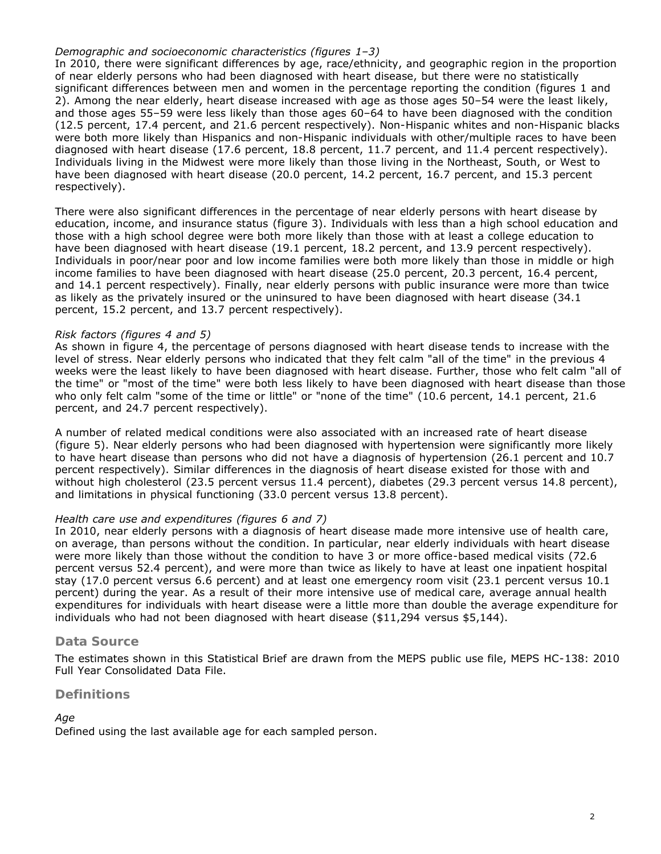## *Demographic and socioeconomic characteristics (figures 1–3)*

In 2010, there were significant differences by age, race/ethnicity, and geographic region in the proportion of near elderly persons who had been diagnosed with heart disease, but there were no statistically significant differences between men and women in the percentage reporting the condition (figures 1 and 2). Among the near elderly, heart disease increased with age as those ages 50–54 were the least likely, and those ages 55–59 were less likely than those ages 60–64 to have been diagnosed with the condition (12.5 percent, 17.4 percent, and 21.6 percent respectively). Non-Hispanic whites and non-Hispanic blacks were both more likely than Hispanics and non-Hispanic individuals with other/multiple races to have been diagnosed with heart disease (17.6 percent, 18.8 percent, 11.7 percent, and 11.4 percent respectively). Individuals living in the Midwest were more likely than those living in the Northeast, South, or West to have been diagnosed with heart disease (20.0 percent, 14.2 percent, 16.7 percent, and 15.3 percent respectively).

There were also significant differences in the percentage of near elderly persons with heart disease by education, income, and insurance status (figure 3). Individuals with less than a high school education and those with a high school degree were both more likely than those with at least a college education to have been diagnosed with heart disease (19.1 percent, 18.2 percent, and 13.9 percent respectively). Individuals in poor/near poor and low income families were both more likely than those in middle or high income families to have been diagnosed with heart disease (25.0 percent, 20.3 percent, 16.4 percent, and 14.1 percent respectively). Finally, near elderly persons with public insurance were more than twice as likely as the privately insured or the uninsured to have been diagnosed with heart disease (34.1 percent, 15.2 percent, and 13.7 percent respectively).

### *Risk factors (figures 4 and 5)*

As shown in figure 4, the percentage of persons diagnosed with heart disease tends to increase with the level of stress. Near elderly persons who indicated that they felt calm "all of the time" in the previous 4 weeks were the least likely to have been diagnosed with heart disease. Further, those who felt calm "all of the time" or "most of the time" were both less likely to have been diagnosed with heart disease than those who only felt calm "some of the time or little" or "none of the time" (10.6 percent, 14.1 percent, 21.6 percent, and 24.7 percent respectively).

A number of related medical conditions were also associated with an increased rate of heart disease (figure 5). Near elderly persons who had been diagnosed with hypertension were significantly more likely to have heart disease than persons who did not have a diagnosis of hypertension (26.1 percent and 10.7 percent respectively). Similar differences in the diagnosis of heart disease existed for those with and without high cholesterol (23.5 percent versus 11.4 percent), diabetes (29.3 percent versus 14.8 percent), and limitations in physical functioning (33.0 percent versus 13.8 percent).

#### *Health care use and expenditures (figures 6 and 7)*

In 2010, near elderly persons with a diagnosis of heart disease made more intensive use of health care, on average, than persons without the condition. In particular, near elderly individuals with heart disease were more likely than those without the condition to have 3 or more office-based medical visits (72.6 percent versus 52.4 percent), and were more than twice as likely to have at least one inpatient hospital stay (17.0 percent versus 6.6 percent) and at least one emergency room visit (23.1 percent versus 10.1 percent) during the year. As a result of their more intensive use of medical care, average annual health expenditures for individuals with heart disease were a little more than double the average expenditure for individuals who had not been diagnosed with heart disease (\$11,294 versus \$5,144).

#### **Data Source**

The estimates shown in this Statistical Brief are drawn from the MEPS public use file, MEPS HC-138: 2010 Full Year Consolidated Data File.

#### **Definitions**

*Age*

Defined using the last available age for each sampled person.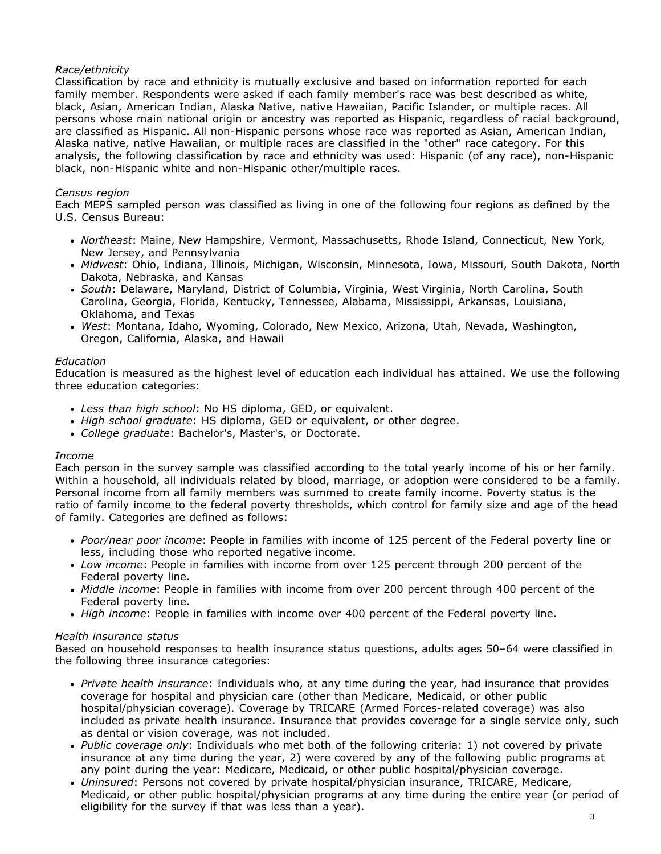# *Race/ethnicity*

Classification by race and ethnicity is mutually exclusive and based on information reported for each family member. Respondents were asked if each family member's race was best described as white, black, Asian, American Indian, Alaska Native, native Hawaiian, Pacific Islander, or multiple races. All persons whose main national origin or ancestry was reported as Hispanic, regardless of racial background, are classified as Hispanic. All non-Hispanic persons whose race was reported as Asian, American Indian, Alaska native, native Hawaiian, or multiple races are classified in the "other" race category. For this analysis, the following classification by race and ethnicity was used: Hispanic (of any race), non-Hispanic black, non-Hispanic white and non-Hispanic other/multiple races.

### *Census region*

Each MEPS sampled person was classified as living in one of the following four regions as defined by the U.S. Census Bureau:

- *Northeast*: Maine, New Hampshire, Vermont, Massachusetts, Rhode Island, Connecticut, New York, New Jersey, and Pennsylvania
- *Midwest*: Ohio, Indiana, Illinois, Michigan, Wisconsin, Minnesota, Iowa, Missouri, South Dakota, North Dakota, Nebraska, and Kansas
- *South*: Delaware, Maryland, District of Columbia, Virginia, West Virginia, North Carolina, South Carolina, Georgia, Florida, Kentucky, Tennessee, Alabama, Mississippi, Arkansas, Louisiana, Oklahoma, and Texas
- *West*: Montana, Idaho, Wyoming, Colorado, New Mexico, Arizona, Utah, Nevada, Washington, Oregon, California, Alaska, and Hawaii

### *Education*

Education is measured as the highest level of education each individual has attained. We use the following three education categories:

- *Less than high school*: No HS diploma, GED, or equivalent.
- *High school graduate*: HS diploma, GED or equivalent, or other degree.
- *College graduate*: Bachelor's, Master's, or Doctorate.

#### *Income*

Each person in the survey sample was classified according to the total yearly income of his or her family. Within a household, all individuals related by blood, marriage, or adoption were considered to be a family. Personal income from all family members was summed to create family income. Poverty status is the ratio of family income to the federal poverty thresholds, which control for family size and age of the head of family. Categories are defined as follows:

- *Poor/near poor income*: People in families with income of 125 percent of the Federal poverty line or less, including those who reported negative income.
- *Low income*: People in families with income from over 125 percent through 200 percent of the Federal poverty line.
- *Middle income*: People in families with income from over 200 percent through 400 percent of the Federal poverty line.
- *High income*: People in families with income over 400 percent of the Federal poverty line.

#### *Health insurance status*

Based on household responses to health insurance status questions, adults ages 50–64 were classified in the following three insurance categories:

- *Private health insurance*: Individuals who, at any time during the year, had insurance that provides coverage for hospital and physician care (other than Medicare, Medicaid, or other public hospital/physician coverage). Coverage by TRICARE (Armed Forces-related coverage) was also included as private health insurance. Insurance that provides coverage for a single service only, such as dental or vision coverage, was not included.
- *Public coverage only*: Individuals who met both of the following criteria: 1) not covered by private insurance at any time during the year, 2) were covered by any of the following public programs at any point during the year: Medicare, Medicaid, or other public hospital/physician coverage.
- *Uninsured*: Persons not covered by private hospital/physician insurance, TRICARE, Medicare, Medicaid, or other public hospital/physician programs at any time during the entire year (or period of eligibility for the survey if that was less than a year).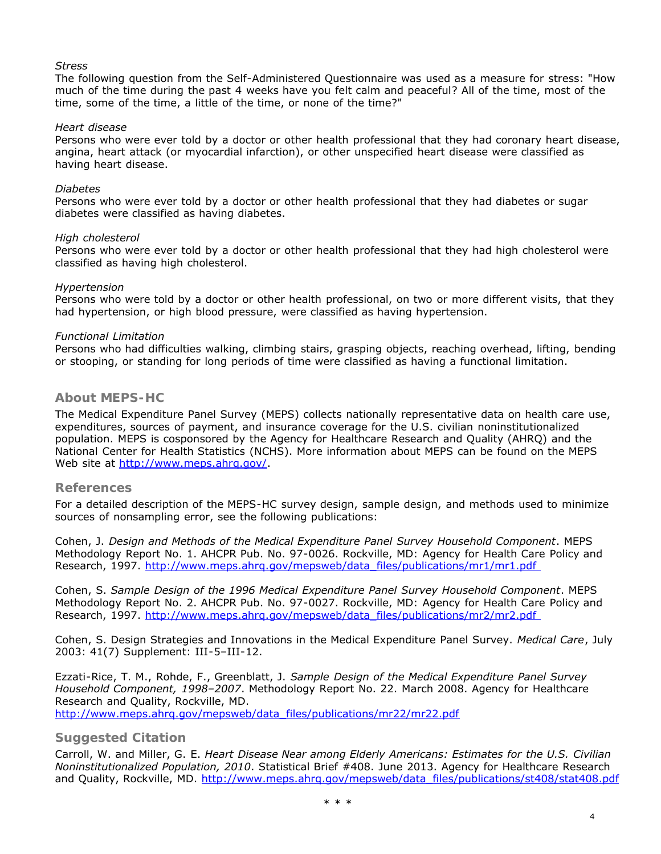### *Stress*

The following question from the Self-Administered Questionnaire was used as a measure for stress: "How much of the time during the past 4 weeks have you felt calm and peaceful? All of the time, most of the time, some of the time, a little of the time, or none of the time?"

## *Heart disease*

Persons who were ever told by a doctor or other health professional that they had coronary heart disease, angina, heart attack (or myocardial infarction), or other unspecified heart disease were classified as having heart disease.

### *Diabetes*

Persons who were ever told by a doctor or other health professional that they had diabetes or sugar diabetes were classified as having diabetes.

#### *High cholesterol*

Persons who were ever told by a doctor or other health professional that they had high cholesterol were classified as having high cholesterol.

### *Hypertension*

Persons who were told by a doctor or other health professional, on two or more different visits, that they had hypertension, or high blood pressure, were classified as having hypertension.

### *Functional Limitation*

Persons who had difficulties walking, climbing stairs, grasping objects, reaching overhead, lifting, bending or stooping, or standing for long periods of time were classified as having a functional limitation.

## **About MEPS-HC**

The Medical Expenditure Panel Survey (MEPS) collects nationally representative data on health care use, expenditures, sources of payment, and insurance coverage for the U.S. civilian noninstitutionalized population. MEPS is cosponsored by the Agency for Healthcare Research and Quality (AHRQ) and the National Center for Health Statistics (NCHS). More information about MEPS can be found on the MEPS Web site at http://www.meps.ahrg.gov/.

### **References**

For a detailed description of the MEPS-HC survey design, sample design, and methods used to minimize sources of nonsampling error, see the following publications:

Cohen, J. *Design and Methods of the Medical Expenditure Panel Survey Household Component*. MEPS Methodology Report No. 1. AHCPR Pub. No. 97-0026. Rockville, MD: Agency for Health Care Policy and Research, 1997. [http://www.meps.ahrq.gov/mepsweb/data\\_files/publications/mr1/mr1.pdf](http://www.meps.ahrq.gov/mepsweb/data_files/publications/mr1/mr1.pdf)

Cohen, S. *Sample Design of the 1996 Medical Expenditure Panel Survey Household Component*. MEPS Methodology Report No. 2. AHCPR Pub. No. 97-0027. Rockville, MD: Agency for Health Care Policy and Research, 1997. [http://www.meps.ahrq.gov/mepsweb/data\\_files/publications/mr2/mr2.pdf](http://www.meps.ahrq.gov/mepsweb/data_files/publications/mr2/mr2.pdf)

Cohen, S. Design Strategies and Innovations in the Medical Expenditure Panel Survey. *Medical Care*, July 2003: 41(7) Supplement: III-5–III-12.

Ezzati-Rice, T. M., Rohde, F., Greenblatt, J. *Sample Design of the Medical Expenditure Panel Survey Household Component, 1998–2007*. Methodology Report No. 22. March 2008. Agency for Healthcare Research and Quality, Rockville, MD. [http://www.meps.ahrq.gov/mepsweb/data\\_files/publications/mr22/mr22.pdf](http://www.meps.ahrq.gov/mepsweb/data_files/publications/mr22/mr22.pdf)

## **Suggested Citation**

Carroll, W. and Miller, G. E. *Heart Disease Near among Elderly Americans: Estimates for the U.S. Civilian Noninstitutionalized Population, 2010*. Statistical Brief #408. June 2013. Agency for Healthcare Research and Quality, Rockville, MD. http://www.meps.ahrg.gov/mepsweb/data\_files/publications/st408/stat408.pdf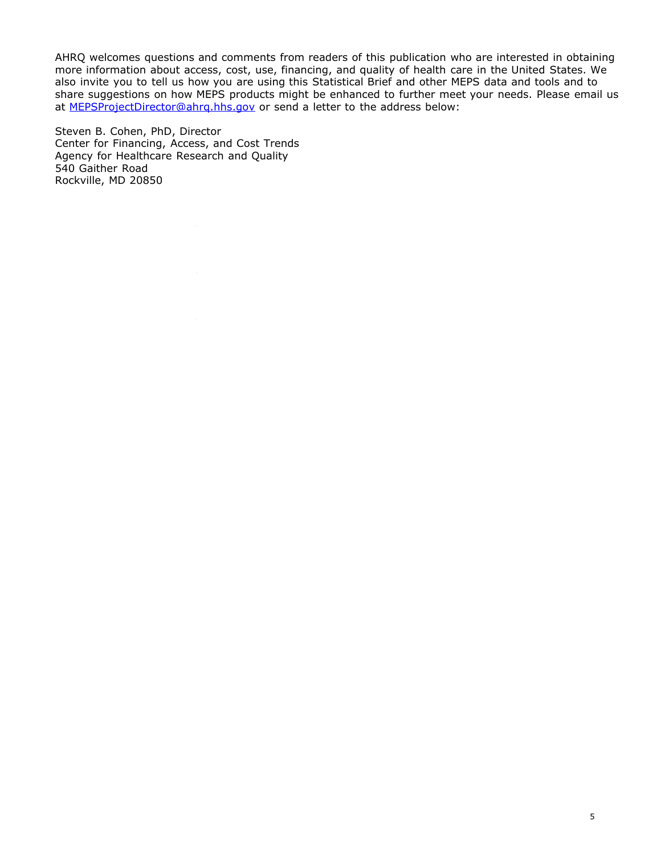AHRQ welcomes questions and comments from readers of this publication who are interested in obtaining more information about access, cost, use, financing, and quality of health care in the United States. We also invite you to tell us how you are using this Statistical Brief and other MEPS data and tools and to share suggestions on how MEPS products might be enhanced to further meet your needs. Please email us at [MEPSProjectDirector@ahrq.hhs.gov](mailto:MEPSProjectDirector@ahrq.hhs.gov) or send a letter to the address below:

Steven B. Cohen, PhD, Director Center for Financing, Access, and Cost Trends Agency for Healthcare Research and Quality 540 Gaither Road Rockville, MD 20850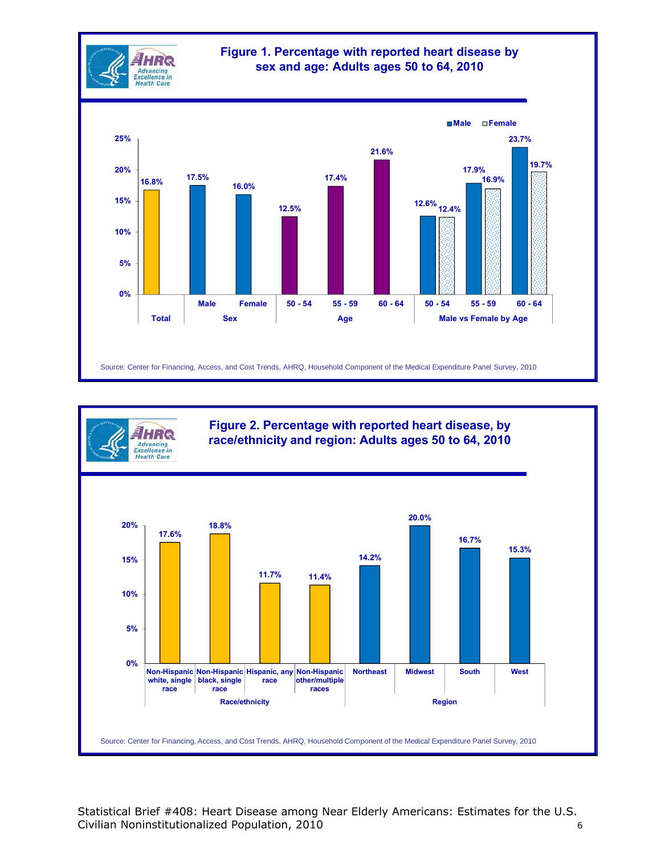



Statistical Brief #408: Heart Disease among Near Elderly Americans: Estimates for the U.S. Civilian Noninstitutionalized Population, 2010 66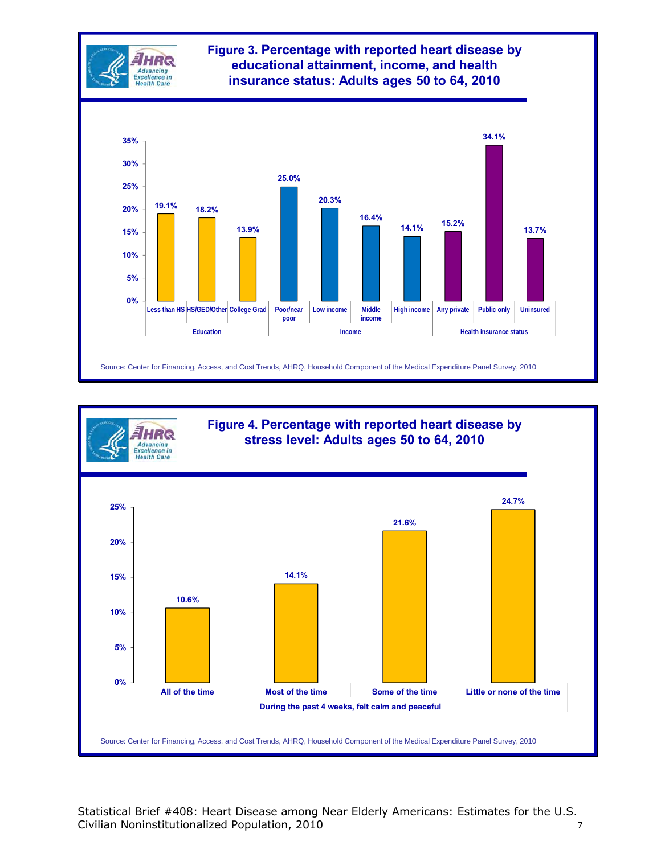



Statistical Brief #408: Heart Disease among Near Elderly Americans: Estimates for the U.S. Civilian Noninstitutionalized Population, 2010 7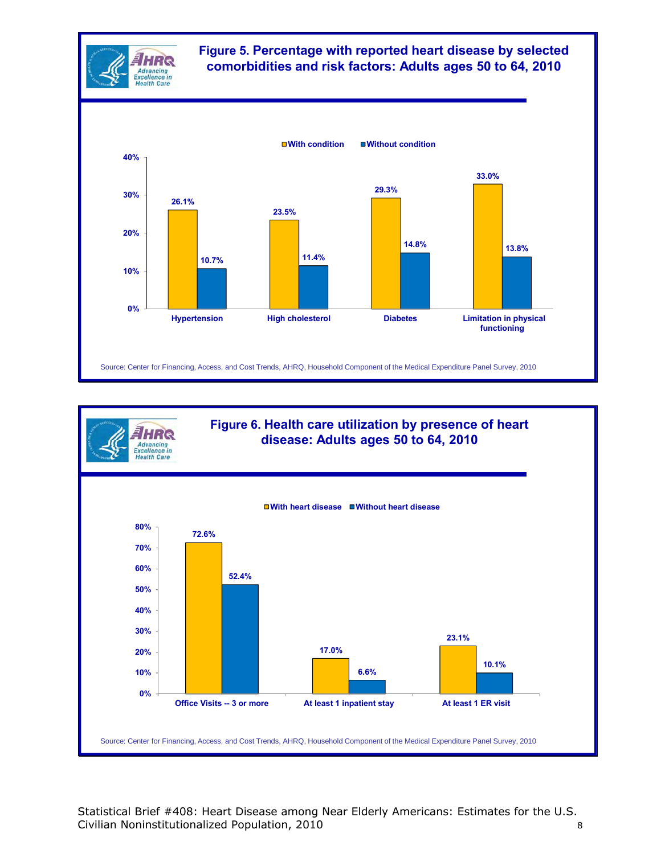



Statistical Brief #408: Heart Disease among Near Elderly Americans: Estimates for the U.S. Civilian Noninstitutionalized Population, 2010 88